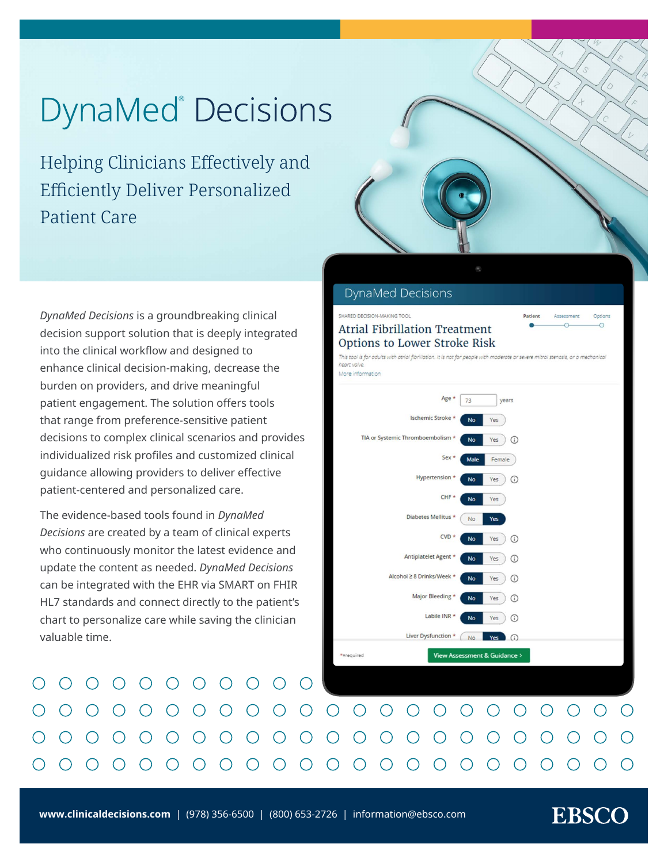# **DynaMed Decisions**

Helping Clinicians Effectively and Efficiently Deliver Personalized Patient Care

*DynaMed Decisions* is a groundbreaking clinical decision support solution that is deeply integrated into the clinical workflow and designed to enhance clinical decision-making, decrease the burden on providers, and drive meaningful patient engagement. The solution offers tools that range from preference-sensitive patient decisions to complex clinical scenarios and provides individualized risk profiles and customized clinical guidance allowing providers to deliver effective patient-centered and personalized care.

The evidence-based tools found in *DynaMed Decisions* are created by a team of clinical experts who continuously monitor the latest evidence and update the content as needed. *DynaMed Decisions* can be integrated with the EHR via SMART on FHIR HL7 standards and connect directly to the patient's chart to personalize care while saving the clinician valuable time.

 $\bigcap$ 

 $\bigcap$ 

 $\bigcap$ 

 $\bigcap$ 

 $\bigcap$ 

 $\bigcirc$ 

 $\bigcap$ 

 $\left(\begin{array}{c} \end{array}\right)$ 

 $(\ )$ 

 $\left( \begin{array}{c} \end{array} \right)$ 



#### **DynaMed Decisions**

#### **SHARED DECISION-MAKING TOOL Atrial Fibrillation Treatment** Options to Lower Stroke Risk

.<br>This tool is for adults with atrial fibrillation, it is not for people with moderate or severe mitral stenasis, or a mechanical heart valve More information



 $\bigcirc$ 

 $\left( \begin{array}{c} \end{array} \right)$ 

 $\left(\begin{array}{c} \end{array}\right)$ 

**EBSCO** 

 $\left( \begin{array}{c} \end{array} \right)$